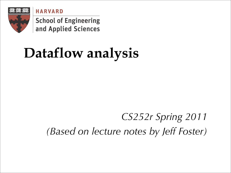**HARVARD** 



**School of Engineering** and Applied Sciences

# **Dataflow analysis**

#### *CS252r Spring 2011 (Based on lecture notes by Jeff Foster)*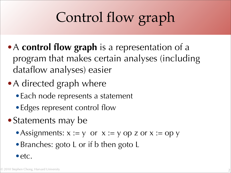# Control flow graph

- •A **control flow graph** is a representation of a program that makes certain analyses (including dataflow analyses) easier
- A directed graph where
	- Each node represents a statement
	- Edges represent control flow
- Statements may be
	- Assignments:  $x := y$  or  $x := y$  op z or  $x := op y$
	- •Branches: goto L or if b then goto L
	- •etc.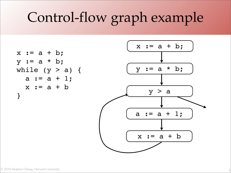# Control-flow graph example

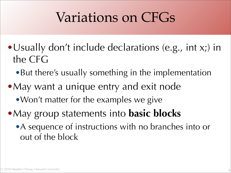### Variations on CFGs

- •Usually don't include declarations (e.g., int x;) in the CFG
	- But there's usually something in the implementation
- •May want a unique entry and exit node
	- Won't matter for the examples we give
- •May group statements into **basic blocks**
	- •A sequence of instructions with no branches into or out of the block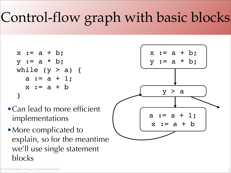# Control-flow graph with basic blocks

$$
x := a + b;
$$
  
\n $y := a * b;$   
\nwhile  $(y > a)$  {  
\n $a := a + 1;$   
\n $x := a + b$   
\n}  
\n}

- •Can lead to more efficient implementations
- More complicated to explain, so for the meantime we'll use single statement blocks



© 2010 Stephen Chong, Harvard University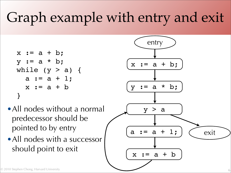# Graph example with entry and exit

$$
x := a + b;
$$
  
\n $y := a * b;$   
\nwhile  $(y > a)$  {  
\n $a := a + 1;$   
\n $x := a + b$   
\n}  
\n}

- All nodes without a normal predecessor should be pointed to by entry
- •All nodes with a successor should point to exit

![](_page_5_Figure_4.jpeg)

6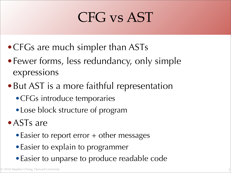# CFG vs AST

- CFGs are much simpler than ASTs
- Fewer forms, less redundancy, only simple expressions
- •But AST is a more faithful representation
	- •CFGs introduce temporaries
	- Lose block structure of program
- ASTs are
	- Easier to report error + other messages
	- Easier to explain to programmer
	- •Easier to unparse to produce readable code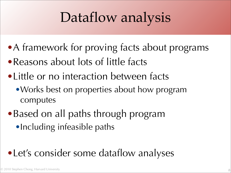# Dataflow analysis

- A framework for proving facts about programs
- Reasons about lots of little facts
- •Little or no interaction between facts
	- Works best on properties about how program computes
- Based on all paths through program
	- •Including infeasible paths

#### •Let's consider some dataflow analyses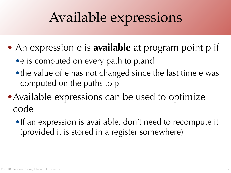## Available expressions

- An expression e is **available** at program point p if
	- e is computed on every path to p, and
	- •the value of e has not changed since the last time e was computed on the paths to p
- Available expressions can be used to optimize code
	- •If an expression is available, don't need to recompute it (provided it is stored in a register somewhere)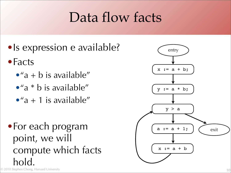## Data flow facts

- Is expression e available?
- Facts
	- $•''a + b$  is available"
	- $•''a * b$  is available"
	- $•''a + 1$  is available"
- © 2010 Stephen Chong, Harvard University •For each program point, we will compute which facts hold.

![](_page_9_Picture_7.jpeg)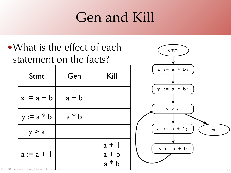### Gen and Kill

![](_page_10_Figure_1.jpeg)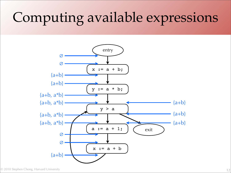# Computing available expressions

![](_page_11_Figure_1.jpeg)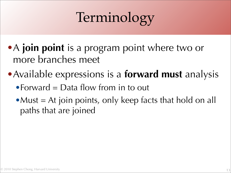# Terminology

- •A **join point** is a program point where two or more branches meet
- •Available expressions is a **forward must** analysis
	- Forward  $=$  Data flow from in to out
	- Must  $=$  At join points, only keep facts that hold on all paths that are joined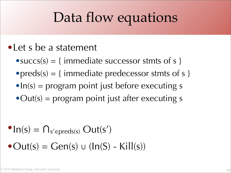### Data flow equations

- •Let s be a statement
	- $\bullet$  succs(s) = { immediate successor stmts of s }
	- $preds(s) = \{ \text{ immediate predecessor} \text{ st} \}$
	- $\bullet$  In(s) = program point just before executing s
	- $\bullet$  Out(s) = program point just after executing s

$$
\begin{aligned} \n\bullet \text{In}(s) &= \bigcap_{s' \in \text{preds}(s)} \text{Out}(s') \\ \n\bullet \text{Out}(s) &= \text{Gen}(s) \cup (\text{In}(S) - \text{Kill}(s)) \n\end{aligned}
$$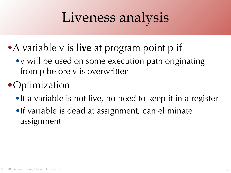# Liveness analysis

- •A variable v is **live** at program point p if
	- •v will be used on some execution path originating from p before v is overwritten

#### **•**Optimization

- •If a variable is not live, no need to keep it in a register
- •If variable is dead at assignment, can eliminate assignment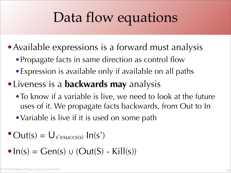## Data flow equations

- Available expressions is a forward must analysis
	- Propagate facts in same direction as control flow
	- •Expression is available only if available on all paths
- •Liveness is a **backwards may** analysis
	- To know if a variable is live, we need to look at the future uses of it. We propagate facts backwards, from Out to In
	- Variable is live if it is used on some path
- $\text{Out}(s) = U_{s' \in success(s)} \ln(s')$
- $\bullet$  In(s) = Gen(s)  $\cup$  (Out(S) Kill(s))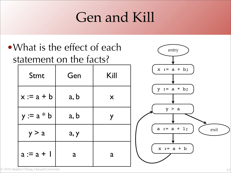### Gen and Kill

### •What is the effect of each statement on the facts?

| Stmt         | Gen  | Kill |
|--------------|------|------|
| $x := a + b$ | a, b | X    |
| $y := a * b$ | a, b | Y    |
| y > a        | a, y |      |
| $a := a + 1$ | a    | a    |

![](_page_16_Picture_3.jpeg)

© 2010 Stephen Chong, Harvard University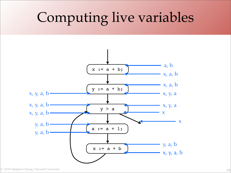# Computing live variables

![](_page_17_Figure_1.jpeg)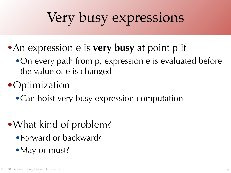# Very busy expressions

- •An expression e is **very busy** at point p if
	- •On every path from p, expression e is evaluated before the value of e is changed

#### **• Optimization**

• Can hoist very busy expression computation

#### •What kind of problem?

- •Forward or backward?
- •May or must?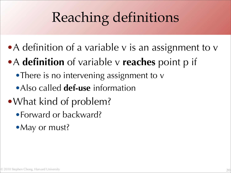# Reaching definitions

- A definition of a variable v is an assignment to v
- •A **definition** of variable v **reaches** point p if
	- There is no intervening assignment to v
	- •Also called **def-use** information
- •What kind of problem?
	- •Forward or backward?
	- May or must?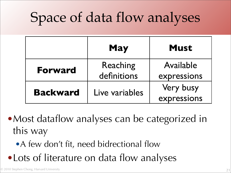# Space of data flow analyses

|                 | <b>May</b>              | <b>Must</b>              |
|-----------------|-------------------------|--------------------------|
| <b>Forward</b>  | Reaching<br>definitions | Available<br>expressions |
| <b>Backward</b> | Live variables          | Very busy<br>expressions |

• Most dataflow analyses can be categorized in this way

• A few don't fit, need bidrectional flow

• Lots of literature on data flow analyses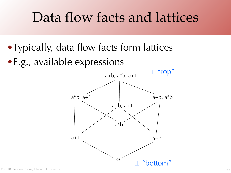### Data flow facts and lattices

• Typically, data flow facts form lattices •E.g., available expressions

![](_page_21_Figure_2.jpeg)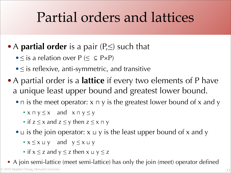### Partial orders and lattices

#### •A **partial order** is a pair (P,≤) such that

- $\bullet \leq$  is a relation over  $P (\leq \subseteq P \times P)$
- $\bullet \leq$  is reflexive, anti-symmetric, and transitive
- A partial order is a **lattice** if every two elements of P have a unique least upper bound and greatest lower bound.
	- $\Box$  is the meet operator: x  $\Box$  y is the greatest lower bound of x and y
		- $x \sqcap y \leq x$  and  $x \sqcap y \leq y$
		- if  $z \le x$  and  $z \le y$  then  $z \le x \sqcap y$
	- •⊔ is the join operator:  $x \cup y$  is the least upper bound of x and y
		- $x \le x \sqcup y$  and  $y \le x \sqcup y$
		- if  $x \le z$  and  $y \le z$  then  $x \sqcup y \le z$

© 2010 Stephen Chong, Harvard University • A join semi-lattice (meet semi-lattice) has only the join (meet) operator defined

23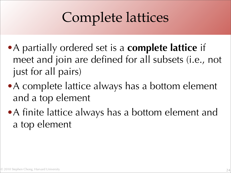# Complete lattices

- •A partially ordered set is a **complete lattice** if meet and join are defined for all subsets (i.e., not just for all pairs)
- A complete lattice always has a bottom element and a top element
- A finite lattice always has a bottom element and a top element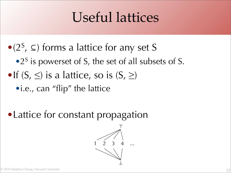### Useful lattices

- $\bullet$  (2<sup>S</sup>,  $\subseteq$ ) forms a lattice for any set S
	- $\bullet$  2<sup>S</sup> is powerset of S, the set of all subsets of S.
- •If  $(S, \leq)$  is a lattice, so is  $(S, \geq)$ 
	- •i.e., can "flip" the lattice
- •Lattice for constant propagation

![](_page_24_Figure_6.jpeg)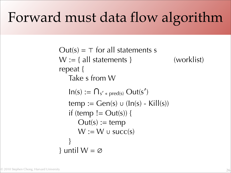## Forward must data flow algorithm

 $Out(s) = T$  for all statements s  $W := \{$  all statements  $\}$  (worklist) repeat { Take s from W  $In(s) := \bigcap_{s' \in \text{pred}(s)} Out(s')$  $temp := Gen(s) \cup (In(s) - Kill(s))$ if (temp  $!=$  Out(s)) {  $Out(s) := temp$  $W := W \cup succ(s)$ } } until  $W = \varnothing$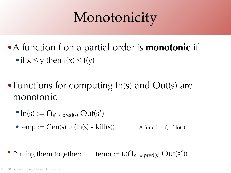# Monotonicity

- •A function f on a partial order is **monotonic** if • if  $x \le y$  then  $f(x) \le f(y)$
- Functions for computing  $In(s)$  and Out(s) are monotonic
	- $\bullet$  In(s)  $:= \bigcap_{s' \in \text{pred}(s)} \text{Out}(s')$
	- temp  $:=$  Gen(s)  $\cup$  (ln(s) Kill(s)) A function  $f_s$  of  $In(s)$

• Putting them together: temp :=  $f_s(\bigcap_{s' \in pred(s)} Out(s'))$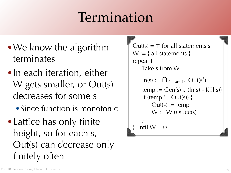### Termination

- We know the algorithm terminates
- In each iteration, either W gets smaller, or Out(s) decreases for some s
	- •Since function is monotonic
- •Lattice has only finite height, so for each s, Out(s) can decrease only finitely often

 $Out(s) = T$  for all statements s  $W := \{$  all statements  $\}$ repeat { Take s from W  $In(s) := \bigcap_{s' \in \text{pred}(s)} Out(s')$  $temp := Gen(s) \cup (In(s) - Kill(s))$ if (temp  $!=$  Out(s)) {  $Out(s) := temp$  $W := W \cup succ(s)$ } } until  $W = \emptyset$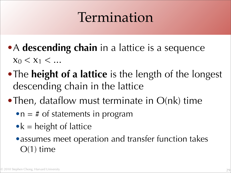### Termination

- •A **descending chain** in a lattice is a sequence  $X_0 < X_1 < ...$
- The **height of a lattice** is the length of the longest descending chain in the lattice
- Then, dataflow must terminate in O(nk) time
	- $\bullet$ n = # of statements in program
	- $\bullet$  k = height of lattice
	- assumes meet operation and transfer function takes O(1) time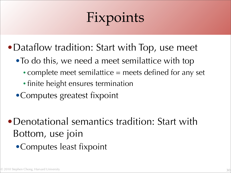# Fixpoints

- Dataflow tradition: Start with Top, use meet
	- •To do this, we need a meet semilattice with top
		- complete meet semilattice = meets defined for any set
		- finite height ensures termination
	- •Computes greatest fixpoint
- •Denotational semantics tradition: Start with Bottom, use join
	- •Computes least fixpoint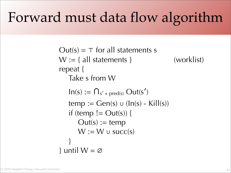## Forward must data flow algorithm

 $Out(s) = T$  for all statements s  $W := \{$  all statements  $\}$  (worklist) repeat { Take s from W  $In(s) := \bigcap_{s' \in \text{pred}(s)} Out(s')$  $temp := Gen(s) \cup (In(s) - Kill(s))$ if (temp  $!=$  Out(s)) {  $Out(s) := temp$  $W := W \cup succ(s)$ } } until  $W = \varnothing$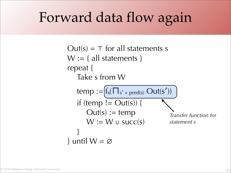## Forward data flow again

```
Transfer function for
                                      statement s
Out(s) = T for all statements s
W := \{ all statements \}repeat {
   Take s from W
   temp := (f_s(\Pi_{s' \in \text{pred}(s)} Out(s'))if (temp != Out(s)) {
       Out(s) := tempW := W \cup succ(s)}
} until W = \varnothing
```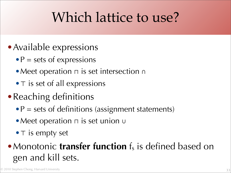## Which lattice to use?

- Available expressions
	- $\bullet$  P = sets of expressions
	- •Meet operation ⊓ is set intersection ∩
	- T is set of all expressions
- Reaching definitions
	- $\bullet$  P = sets of definitions (assignment statements)
	- •Meet operation ⊓ is set union ∪
	- T is empty set

#### • Monotonic **transfer function** f<sub>s</sub> is defined based on gen and kill sets.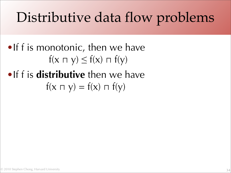# Distributive data flow problems

### •If f is monotonic, then we have  $f(x \cap y) \le f(x) \cap f(y)$

### •If f is **distributive** then we have  $f(x \cap y) = f(x) \cap f(y)$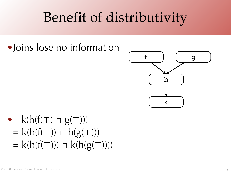## Benefit of distributivity

#### •Joins lose no information

![](_page_34_Figure_2.jpeg)

•  $k(h(f(T) \sqcap g(T)))$  $= k(h(f(T)) \cap h(g(T)))$  $= k(h(f(T))) \sqcap k(h(g(T))))$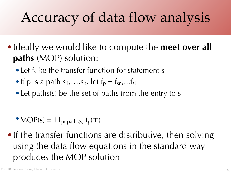# Accuracy of data flow analysis

- •Ideally we would like to compute the **meet over all paths** (MOP) solution:
	- Let f<sub>s</sub> be the transfer function for statement s
	- If p is a path  $s_1,...,s_n$ , let  $f_p = f_{sn},...,f_{s1}$
	- Let paths(s) be the set of paths from the entry to s

- $MOP(s) = \prod_{p \in paths(s)} f_p(\top)$
- If the transfer functions are distributive, then solving using the data flow equations in the standard way produces the MOP solution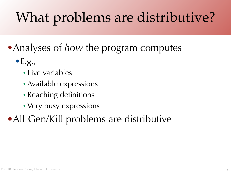# What problems are distributive?

#### •Analyses of *how* the program computes

- $\bullet$  E.g.,
	- Live variables
	- Available expressions
	- Reaching definitions
	- Very busy expressions

### •All Gen/Kill problems are distributive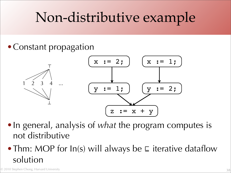# Non-distributive example

#### • Constant propagation

![](_page_37_Figure_2.jpeg)

- •In general, analysis of *what* the program computes is not distributive
- Thm: MOP for In(s) will always be ⊑ iterative dataflow solution

© 2010 Stephen Chong, Harvard University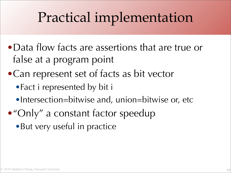# Practical implementation

- •Data flow facts are assertions that are true or false at a program point
- •Can represent set of facts as bit vector
	- •Fact i represented by bit i
	- •Intersection=bitwise and, union=bitwise or, etc
- •"Only" a constant factor speedup
	- •But very useful in practice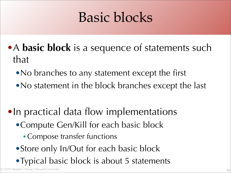## Basic blocks

- •A **basic block** is a sequence of statements such that
	- No branches to any statement except the first
	- No statement in the block branches except the last
- •In practical data flow implementations
	- •Compute Gen/Kill for each basic block
		- Compose transfer functions
	- Store only In/Out for each basic block
	- Typical basic block is about 5 statements

© 2010 Stephen Chong, Harvard University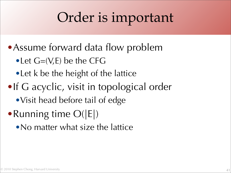## Order is important

- Assume forward data flow problem
	- Let  $G=(V,E)$  be the CFG
	- Let k be the height of the lattice
- •If G acyclic, visit in topological order
	- •Visit head before tail of edge
- Running time  $O(|E|)$ 
	- No matter what size the lattice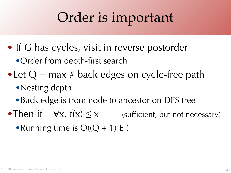## Order is important

• If G has cycles, visit in reverse postorder

• Order from depth-first search

- Let  $Q = max #$  back edges on cycle-free path
	- Nesting depth
	- Back edge is from node to ancestor on DFS tree
- •Then if  $\forall x. f(x) \leq x$  (sufficient, but not necessary)
	- Running time is  $O((Q + 1)|E|)$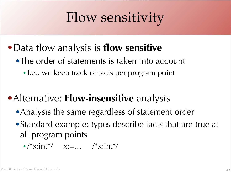# Flow sensitivity

- •Data flow analysis is **flow sensitive**
	- •The order of statements is taken into account
		- I.e., we keep track of facts per program point

### •Alternative: **Flow-insensitive** analysis

- Analysis the same regardless of statement order
- •Standard example: types describe facts that are true at all program points
	- $/*$ x:int\*/  $x:=...$  /\* $x:int*/$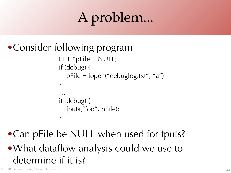# A problem...

```
•Consider following program
                FILE *pFile = NULL;
                if (debug) {
                   pFile = fopen("delaylog.txt", "a")}
                …
                if (debug) {
                   fputs("foo", pFile);
                }
```
### •Can pFile be NULL when used for fputs? •What dataflow analysis could we use to determine if it is?

© 2010 Stephen Chong, Harvard University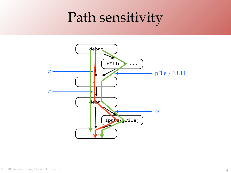## Path sensitivity

![](_page_44_Figure_1.jpeg)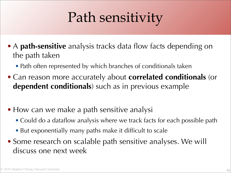# Path sensitivity

- A **path-sensitive** analysis tracks data flow facts depending on the path taken
	- Path often represented by which branches of conditionals taken
- Can reason more accurately about **correlated conditionals** (or **dependent conditionals**) such as in previous example
- How can we make a path sensitive analysi
	- Could do a dataflow analysis where we track facts for each possible path
	- But exponentially many paths make it difficult to scale
- Some research on scalable path sensitive analyses. We will discuss one next week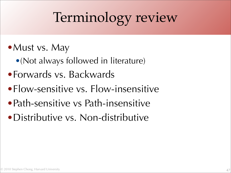# Terminology review

- Must vs. May
	- •(Not always followed in literature)
- •Forwards vs. Backwards
- •Flow-sensitive vs. Flow-insensitive
- Path-sensitive vs Path-insensitive
- Distributive vs. Non-distributive